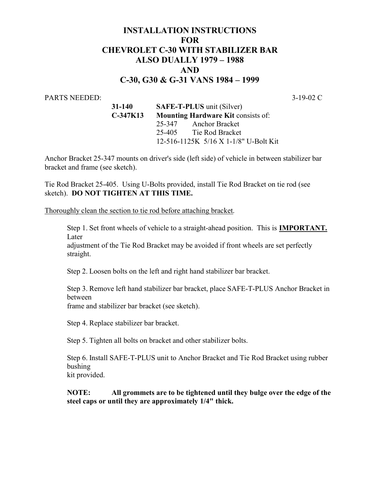## INSTALLATION INSTRUCTIONS **FOR**  CHEVROLET C-30 WITH STABILIZER BAR ALSO DUALLY 1979 – 1988 AND C-30, G30 & G-31 VANS 1984 – 1999

## PARTS NEEDED: 3-19-02 C

 31-140 SAFE-T-PLUS unit (Silver) C-347K13 Mounting Hardware Kit consists of: 25-347 Anchor Bracket 25-405 Tie Rod Bracket 12-516-1125K 5/16 X 1-1/8" U-Bolt Kit

Anchor Bracket 25-347 mounts on driver's side (left side) of vehicle in between stabilizer bar bracket and frame (see sketch).

Tie Rod Bracket 25-405. Using U-Bolts provided, install Tie Rod Bracket on tie rod (see sketch). DO NOT TIGHTEN AT THIS TIME.

Thoroughly clean the section to tie rod before attaching bracket.

Step 1. Set front wheels of vehicle to a straight-ahead position. This is IMPORTANT. Later

adjustment of the Tie Rod Bracket may be avoided if front wheels are set perfectly straight.

Step 2. Loosen bolts on the left and right hand stabilizer bar bracket.

Step 3. Remove left hand stabilizer bar bracket, place SAFE-T-PLUS Anchor Bracket in between frame and stabilizer bar bracket (see sketch).

Step 4. Replace stabilizer bar bracket.

Step 5. Tighten all bolts on bracket and other stabilizer bolts.

Step 6. Install SAFE-T-PLUS unit to Anchor Bracket and Tie Rod Bracket using rubber bushing

kit provided.

NOTE: All grommets are to be tightened until they bulge over the edge of the steel caps or until they are approximately 1/4" thick.